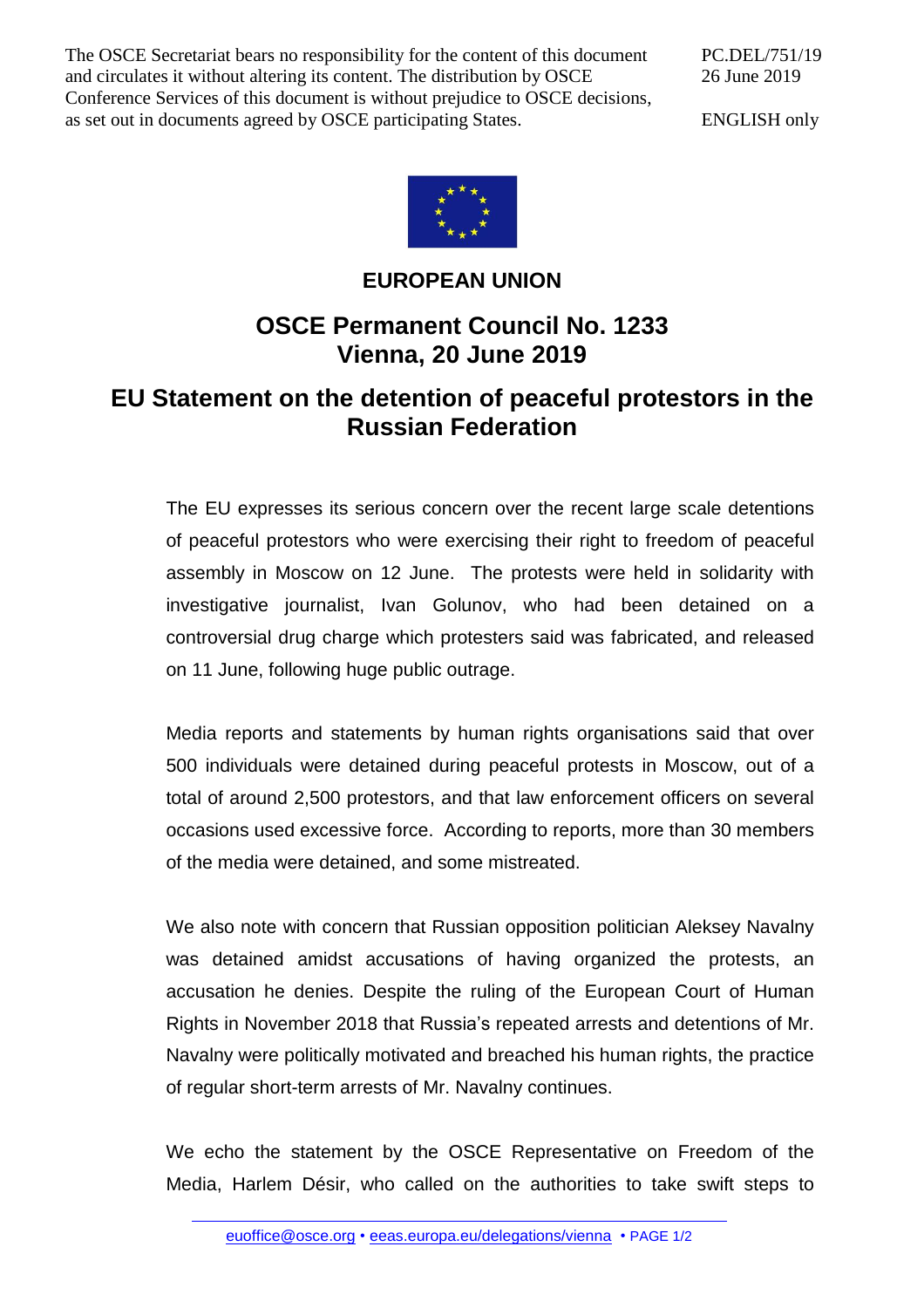The OSCE Secretariat bears no responsibility for the content of this document and circulates it without altering its content. The distribution by OSCE Conference Services of this document is without prejudice to OSCE decisions, as set out in documents agreed by OSCE participating States.

PC.DEL/751/19 26 June 2019

ENGLISH only



## **EUROPEAN UNION**

## **OSCE Permanent Council No. 1233 Vienna, 20 June 2019**

## **EU Statement on the detention of peaceful protestors in the Russian Federation**

The EU expresses its serious concern over the recent large scale detentions of peaceful protestors who were exercising their right to freedom of peaceful assembly in Moscow on 12 June. The protests were held in solidarity with investigative journalist, Ivan Golunov, who had been detained on a controversial drug charge which protesters said was fabricated, and released on 11 June, following huge public outrage.

Media reports and statements by human rights organisations said that over 500 individuals were detained during peaceful protests in Moscow, out of a total of around 2,500 protestors, and that law enforcement officers on several occasions used excessive force. According to reports, more than 30 members of the media were detained, and some mistreated.

We also note with concern that Russian opposition politician Aleksey Navalny was detained amidst accusations of having organized the protests, an accusation he denies. Despite the ruling of the European Court of Human Rights in November 2018 that Russia's repeated arrests and detentions of Mr. Navalny were politically motivated and breached his human rights, the practice of regular short-term arrests of Mr. Navalny continues.

We echo the statement by the OSCE Representative on Freedom of the Media, Harlem Désir, who called on the authorities to take swift steps to

[euoffice@osce.org](mailto:euoffice@osce.org) • [eeas.europa.eu/delegations/vienna](http://eeas.europa.eu/delegations/vienna) • PAGE 1/2